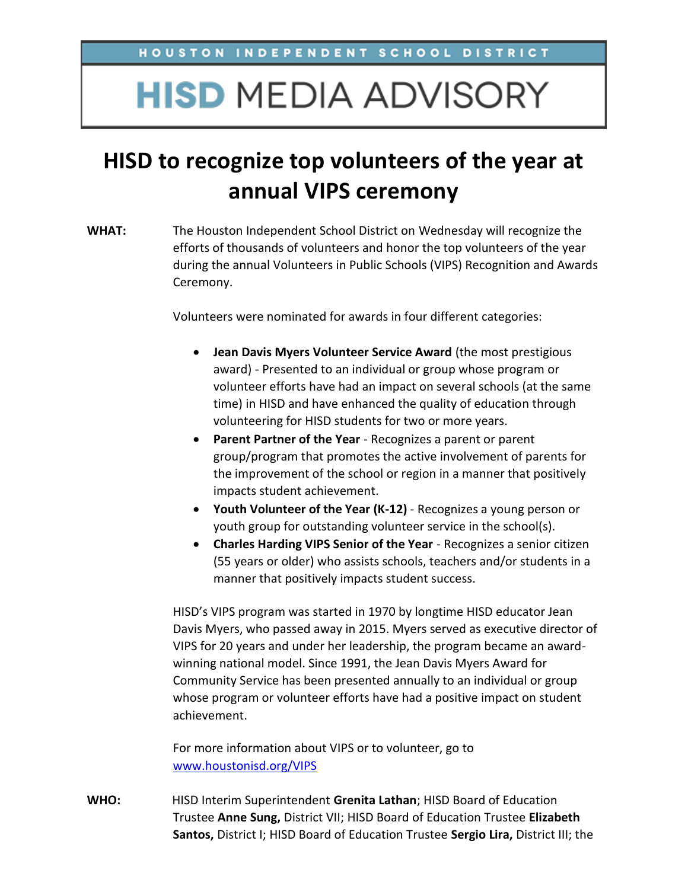## **HISD MEDIA ADVISORY**

## **HISD to recognize top volunteers of the year at annual VIPS ceremony**

**WHAT:** The Houston Independent School District on Wednesday will recognize the efforts of thousands of volunteers and honor the top volunteers of the year during the annual Volunteers in Public Schools (VIPS) Recognition and Awards Ceremony.

Volunteers were nominated for awards in four different categories:

- **Jean Davis Myers Volunteer Service Award** (the most prestigious award) - Presented to an individual or group whose program or volunteer efforts have had an impact on several schools (at the same time) in HISD and have enhanced the quality of education through volunteering for HISD students for two or more years.
- **Parent Partner of the Year** Recognizes a parent or parent group/program that promotes the active involvement of parents for the improvement of the school or region in a manner that positively impacts student achievement.
- **Youth Volunteer of the Year (K-12)** Recognizes a young person or youth group for outstanding volunteer service in the school(s).
- **Charles Harding VIPS Senior of the Year** Recognizes a senior citizen (55 years or older) who assists schools, teachers and/or students in a manner that positively impacts student success.

HISD's VIPS program was started in 1970 by longtime HISD educator Jean Davis Myers, who passed away in 2015. Myers served as executive director of VIPS for 20 years and under her leadership, the program became an awardwinning national model. Since 1991, the Jean Davis Myers Award for Community Service has been presented annually to an individual or group whose program or volunteer efforts have had a positive impact on student achievement.

For more information about VIPS or to volunteer, go to [www.houstonisd.org/VIPS](http://www.houstonisd.org/VIPS)

**WHO:** HISD Interim Superintendent **Grenita Lathan**; HISD Board of Education Trustee **Anne Sung,** District VII; HISD Board of Education Trustee **Elizabeth Santos,** District I; HISD Board of Education Trustee **Sergio Lira,** District III; the